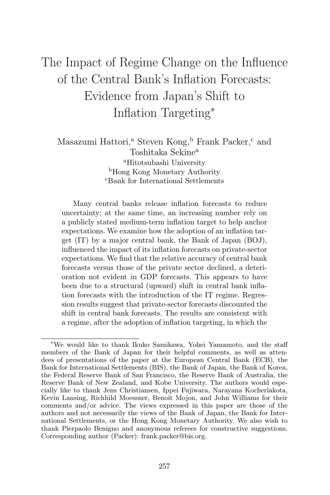# The Impact of Regime Change on the Influence of the Central Bank's Inflation Forecasts: Evidence from Japan's Shift to Inflation Targeting<sup>∗</sup>

Masazumi Hattori,<sup>a</sup> Steven Kong,<sup>b</sup> Frank Packer,<sup>c</sup> and Toshitaka Sekine<sup>a</sup> <sup>a</sup>Hitotsubashi University <sup>b</sup>Hong Kong Monetary Authority <sup>c</sup>Bank for International Settlements

Many central banks release inflation forecasts to reduce uncertainty; at the same time, an increasing number rely on a publicly stated medium-term inflation target to help anchor expectations. We examine how the adoption of an inflation target (IT) by a major central bank, the Bank of Japan (BOJ), influenced the impact of its inflation forecasts on private-sector expectations. We find that the relative accuracy of central bank forecasts versus those of the private sector declined, a deterioration not evident in GDP forecasts. This appears to have been due to a structural (upward) shift in central bank inflation forecasts with the introduction of the IT regime. Regression results suggest that private-sector forecasts discounted the shift in central bank forecasts. The results are consistent with a regime, after the adoption of inflation targeting, in which the

<sup>∗</sup>We would like to thank Ikuko Samikawa, Yohei Yamamoto, and the staff members of the Bank of Japan for their helpful comments, as well as attendees of presentations of the paper at the European Central Bank (ECB), the Bank for International Settlements (BIS), the Bank of Japan, the Bank of Korea, the Federal Reserve Bank of San Francisco, the Reserve Bank of Australia, the Reserve Bank of New Zealand, and Kobe University. The authors would especially like to thank Jens Christiansen, Ippei Fujiwara, Narayana Kocherlakota, Kevin Lansing, Richhild Moessner, Benoit Mojon, and John Williams for their comments and/or advice. The views expressed in this paper are those of the authors and not necessarily the views of the Bank of Japan, the Bank for International Settlements, or the Hong Kong Monetary Authority. We also wish to thank Pierpaolo Benigno and anonymous referees for constructive suggestions. Corresponding author (Packer): frank.packer@bis.org.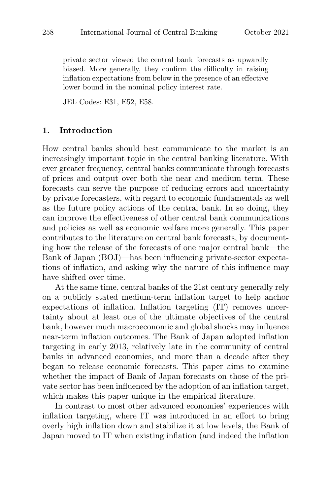private sector viewed the central bank forecasts as upwardly biased. More generally, they confirm the difficulty in raising inflation expectations from below in the presence of an effective lower bound in the nominal policy interest rate.

JEL Codes: E31, E52, E58.

#### **1. Introduction**

How central banks should best communicate to the market is an increasingly important topic in the central banking literature. With ever greater frequency, central banks communicate through forecasts of prices and output over both the near and medium term. These forecasts can serve the purpose of reducing errors and uncertainty by private forecasters, with regard to economic fundamentals as well as the future policy actions of the central bank. In so doing, they can improve the effectiveness of other central bank communications and policies as well as economic welfare more generally. This paper contributes to the literature on central bank forecasts, by documenting how the release of the forecasts of one major central bank—the Bank of Japan (BOJ)—has been influencing private-sector expectations of inflation, and asking why the nature of this influence may have shifted over time.

At the same time, central banks of the 21st century generally rely on a publicly stated medium-term inflation target to help anchor expectations of inflation. Inflation targeting (IT) removes uncertainty about at least one of the ultimate objectives of the central bank, however much macroeconomic and global shocks may influence near-term inflation outcomes. The Bank of Japan adopted inflation targeting in early 2013, relatively late in the community of central banks in advanced economies, and more than a decade after they began to release economic forecasts. This paper aims to examine whether the impact of Bank of Japan forecasts on those of the private sector has been influenced by the adoption of an inflation target, which makes this paper unique in the empirical literature.

In contrast to most other advanced economies' experiences with inflation targeting, where IT was introduced in an effort to bring overly high inflation down and stabilize it at low levels, the Bank of Japan moved to IT when existing inflation (and indeed the inflation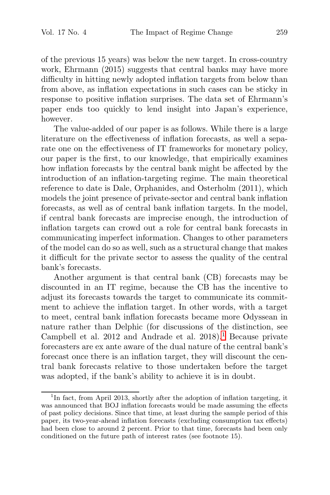of the previous 15 years) was below the new target. In cross-country work, Ehrmann (2015) suggests that central banks may have more difficulty in hitting newly adopted inflation targets from below than from above, as inflation expectations in such cases can be sticky in response to positive inflation surprises. The data set of Ehrmann's paper ends too quickly to lend insight into Japan's experience, however.

The value-added of our paper is as follows. While there is a large literature on the effectiveness of inflation forecasts, as well a separate one on the effectiveness of IT frameworks for monetary policy, our paper is the first, to our knowledge, that empirically examines how inflation forecasts by the central bank might be affected by the introduction of an inflation-targeting regime. The main theoretical reference to date is Dale, Orphanides, and Osterholm (2011), which models the joint presence of private-sector and central bank inflation forecasts, as well as of central bank inflation targets. In the model, if central bank forecasts are imprecise enough, the introduction of inflation targets can crowd out a role for central bank forecasts in communicating imperfect information. Changes to other parameters of the model can do so as well, such as a structural change that makes it difficult for the private sector to assess the quality of the central bank's forecasts.

Another argument is that central bank (CB) forecasts may be discounted in an IT regime, because the CB has the incentive to adjust its forecasts towards the target to communicate its commitment to achieve the inflation target. In other words, with a target to meet, central bank inflation forecasts became more Odyssean in nature rather than Delphic (for discussions of the distinction, see Campbell et al.  $2012$  and Andrade et al.  $2018$ <sup>1</sup>. Because private forecasters are ex ante aware of the dual nature of the central bank's forecast once there is an inflation target, they will discount the central bank forecasts relative to those undertaken before the target was adopted, if the bank's ability to achieve it is in doubt.

<sup>&</sup>lt;sup>1</sup>In fact, from April 2013, shortly after the adoption of inflation targeting, it was announced that BOJ inflation forecasts would be made assuming the effects of past policy decisions. Since that time, at least during the sample period of this paper, its two-year-ahead inflation forecasts (excluding consumption tax effects) had been close to around 2 percent. Prior to that time, forecasts had been only conditioned on the future path of interest rates (see footnote 15).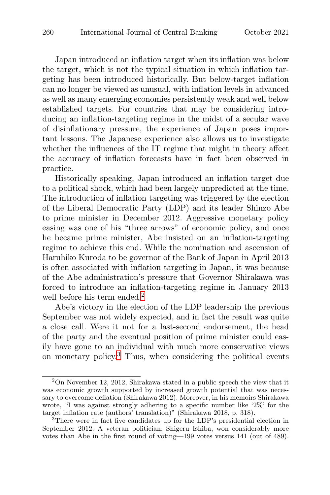Japan introduced an inflation target when its inflation was below the target, which is not the typical situation in which inflation targeting has been introduced historically. But below-target inflation can no longer be viewed as unusual, with inflation levels in advanced as well as many emerging economies persistently weak and well below established targets. For countries that may be considering introducing an inflation-targeting regime in the midst of a secular wave of disinflationary pressure, the experience of Japan poses important lessons. The Japanese experience also allows us to investigate whether the influences of the IT regime that might in theory affect the accuracy of inflation forecasts have in fact been observed in practice.

Historically speaking, Japan introduced an inflation target due to a political shock, which had been largely unpredicted at the time. The introduction of inflation targeting was triggered by the election of the Liberal Democratic Party (LDP) and its leader Shinzo Abe to prime minister in December 2012. Aggressive monetary policy easing was one of his "three arrows" of economic policy, and once he became prime minister, Abe insisted on an inflation-targeting regime to achieve this end. While the nomination and ascension of Haruhiko Kuroda to be governor of the Bank of Japan in April 2013 is often associated with inflation targeting in Japan, it was because of the Abe administration's pressure that Governor Shirakawa was forced to introduce an inflation-targeting regime in January 2013 well before his term ended.<sup>2</sup>

Abe's victory in the election of the LDP leadership the previous September was not widely expected, and in fact the result was quite a close call. Were it not for a last-second endorsement, the head of the party and the eventual position of prime minister could easily have gone to an individual with much more conservative views on monetary policy.<sup>3</sup> Thus, when considering the political events

 $2^2$ On November 12, 2012, Shirakawa stated in a public speech the view that it was economic growth supported by increased growth potential that was necessary to overcome deflation (Shirakawa 2012). Moreover, in his memoirs Shirakawa wrote, "I was against strongly adhering to a specific number like '2%' for the target inflation rate (authors' translation)" (Shirakawa 2018, p. 318).

 $3$ There were in fact five candidates up for the LDP's presidential election in September 2012. A veteran politician, Shigeru Ishiba, won considerably more votes than Abe in the first round of voting—199 votes versus 141 (out of 489).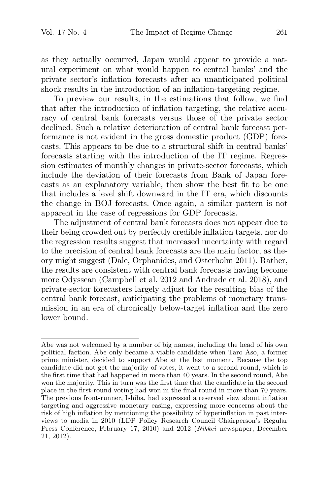as they actually occurred, Japan would appear to provide a natural experiment on what would happen to central banks' and the private sector's inflation forecasts after an unanticipated political shock results in the introduction of an inflation-targeting regime.

To preview our results, in the estimations that follow, we find that after the introduction of inflation targeting, the relative accuracy of central bank forecasts versus those of the private sector declined. Such a relative deterioration of central bank forecast performance is not evident in the gross domestic product (GDP) forecasts. This appears to be due to a structural shift in central banks' forecasts starting with the introduction of the IT regime. Regression estimates of monthly changes in private-sector forecasts, which include the deviation of their forecasts from Bank of Japan forecasts as an explanatory variable, then show the best fit to be one that includes a level shift downward in the IT era, which discounts the change in BOJ forecasts. Once again, a similar pattern is not apparent in the case of regressions for GDP forecasts.

The adjustment of central bank forecasts does not appear due to their being crowded out by perfectly credible inflation targets, nor do the regression results suggest that increased uncertainty with regard to the precision of central bank forecasts are the main factor, as theory might suggest (Dale, Orphanides, and Osterholm 2011). Rather, the results are consistent with central bank forecasts having become more Odyssean (Campbell et al. 2012 and Andrade et al. 2018), and private-sector forecasters largely adjust for the resulting bias of the central bank forecast, anticipating the problems of monetary transmission in an era of chronically below-target inflation and the zero lower bound.

Abe was not welcomed by a number of big names, including the head of his own political faction. Abe only became a viable candidate when Taro Aso, a former prime minister, decided to support Abe at the last moment. Because the top candidate did not get the majority of votes, it went to a second round, which is the first time that had happened in more than 40 years. In the second round, Abe won the majority. This in turn was the first time that the candidate in the second place in the first-round voting had won in the final round in more than 70 years. The previous front-runner, Ishiba, had expressed a reserved view about inflation targeting and aggressive monetary easing, expressing more concerns about the risk of high inflation by mentioning the possibility of hyperinflation in past interviews to media in 2010 (LDP Policy Research Council Chairperson's Regular Press Conference, February 17, 2010) and 2012 (Nikkei newspaper, December 21, 2012).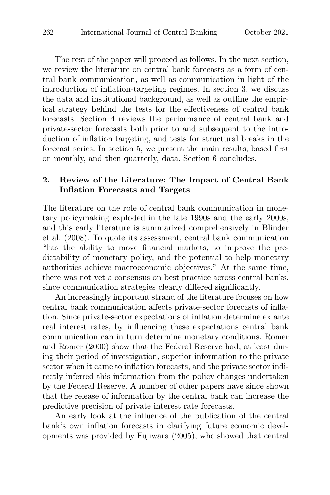The rest of the paper will proceed as follows. In the next section, we review the literature on central bank forecasts as a form of central bank communication, as well as communication in light of the introduction of inflation-targeting regimes. In section 3, we discuss the data and institutional background, as well as outline the empirical strategy behind the tests for the effectiveness of central bank forecasts. Section 4 reviews the performance of central bank and private-sector forecasts both prior to and subsequent to the introduction of inflation targeting, and tests for structural breaks in the forecast series. In section 5, we present the main results, based first on monthly, and then quarterly, data. Section 6 concludes.

## **2. Review of the Literature: The Impact of Central Bank Inflation Forecasts and Targets**

The literature on the role of central bank communication in monetary policymaking exploded in the late 1990s and the early 2000s, and this early literature is summarized comprehensively in Blinder et al. (2008). To quote its assessment, central bank communication "has the ability to move financial markets, to improve the predictability of monetary policy, and the potential to help monetary authorities achieve macroeconomic objectives." At the same time, there was not yet a consensus on best practice across central banks, since communication strategies clearly differed significantly.

An increasingly important strand of the literature focuses on how central bank communication affects private-sector forecasts of inflation. Since private-sector expectations of inflation determine ex ante real interest rates, by influencing these expectations central bank communication can in turn determine monetary conditions. Romer and Romer (2000) show that the Federal Reserve had, at least during their period of investigation, superior information to the private sector when it came to inflation forecasts, and the private sector indirectly inferred this information from the policy changes undertaken by the Federal Reserve. A number of other papers have since shown that the release of information by the central bank can increase the predictive precision of private interest rate forecasts.

An early look at the influence of the publication of the central bank's own inflation forecasts in clarifying future economic developments was provided by Fujiwara (2005), who showed that central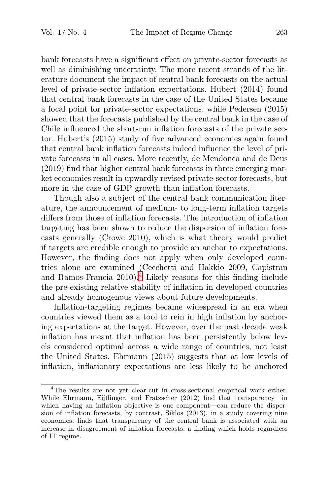bank forecasts have a significant effect on private-sector forecasts as well as diminishing uncertainty. The more recent strands of the literature document the impact of central bank forecasts on the actual level of private-sector inflation expectations. Hubert (2014) found that central bank forecasts in the case of the United States became a focal point for private-sector expectations, while Pedersen (2015) showed that the forecasts published by the central bank in the case of Chile influenced the short-run inflation forecasts of the private sector. Hubert's (2015) study of five advanced economies again found that central bank inflation forecasts indeed influence the level of private forecasts in all cases. More recently, de Mendonca and de Deus (2019) find that higher central bank forecasts in three emerging market economies result in upwardly revised private-sector forecasts, but more in the case of GDP growth than inflation forecasts.

Though also a subject of the central bank communication literature, the announcement of medium- to long-term inflation targets differs from those of inflation forecasts. The introduction of inflation targeting has been shown to reduce the dispersion of inflation forecasts generally (Crowe 2010), which is what theory would predict if targets are credible enough to provide an anchor to expectations. However, the finding does not apply when only developed countries alone are examined (Cecchetti and Hakkio 2009, Capistran and Ramos-Francia  $2010$ .<sup>4</sup> Likely reasons for this finding include the pre-existing relative stability of inflation in developed countries and already homogenous views about future developments.

Inflation-targeting regimes became widespread in an era when countries viewed them as a tool to rein in high inflation by anchoring expectations at the target. However, over the past decade weak inflation has meant that inflation has been persistently below levels considered optimal across a wide range of countries, not least the United States. Ehrmann (2015) suggests that at low levels of inflation, inflationary expectations are less likely to be anchored

<sup>&</sup>lt;sup>4</sup>The results are not yet clear-cut in cross-sectional empirical work either. While Ehrmann, Eijffinger, and Fratzscher (2012) find that transparency—in which having an inflation objective is one component—can reduce the dispersion of inflation forecasts, by contrast, Siklos (2013), in a study covering nine economies, finds that transparency of the central bank is associated with an increase in disagreement of inflation forecasts, a finding which holds regardless of IT regime.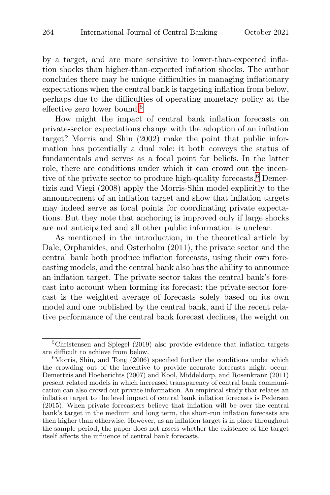by a target, and are more sensitive to lower-than-expected inflation shocks than higher-than-expected inflation shocks. The author concludes there may be unique difficulties in managing inflationary expectations when the central bank is targeting inflation from below, perhaps due to the difficulties of operating monetary policy at the effective zero lower bound.<sup>5</sup>

How might the impact of central bank inflation forecasts on private-sector expectations change with the adoption of an inflation target? Morris and Shin (2002) make the point that public information has potentially a dual role: it both conveys the status of fundamentals and serves as a focal point for beliefs. In the latter role, there are conditions under which it can crowd out the incentive of the private sector to produce high-quality forecasts.<sup>6</sup> Demertizis and Viegi (2008) apply the Morris-Shin model explicitly to the announcement of an inflation target and show that inflation targets may indeed serve as focal points for coordinating private expectations. But they note that anchoring is improved only if large shocks are not anticipated and all other public information is unclear.

As mentioned in the introduction, in the theoretical article by Dale, Orphanides, and Osterholm (2011), the private sector and the central bank both produce inflation forecasts, using their own forecasting models, and the central bank also has the ability to announce an inflation target. The private sector takes the central bank's forecast into account when forming its forecast: the private-sector forecast is the weighted average of forecasts solely based on its own model and one published by the central bank, and if the recent relative performance of the central bank forecast declines, the weight on

<sup>5</sup>Christensen and Spiegel (2019) also provide evidence that inflation targets are difficult to achieve from below.<br><sup>6</sup>Morris, Shin, and Tong (2006) specified further the conditions under which

the crowding out of the incentive to provide accurate forecasts might occur. Demertzis and Hoeberichts (2007) and Kool, Middeldorp, and Rosenkranz (2011) present related models in which increased transparency of central bank communication can also crowd out private information. An empirical study that relates an inflation target to the level impact of central bank inflation forecasts is Pedersen (2015). When private forecasters believe that inflation will be over the central bank's target in the medium and long term, the short-run inflation forecasts are then higher than otherwise. However, as an inflation target is in place throughout the sample period, the paper does not assess whether the existence of the target itself affects the influence of central bank forecasts.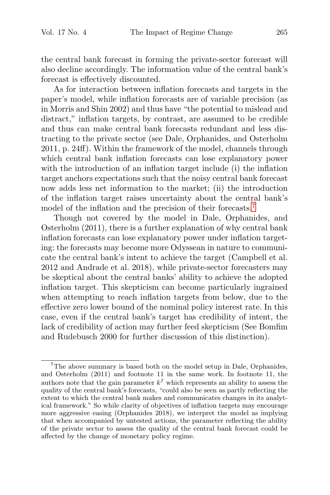the central bank forecast in forming the private-sector forecast will also decline accordingly. The information value of the central bank's forecast is effectively discounted.

As for interaction between inflation forecasts and targets in the paper's model, while inflation forecasts are of variable precision (as in Morris and Shin 2002) and thus have "the potential to mislead and distract," inflation targets, by contrast, are assumed to be credible and thus can make central bank forecasts redundant and less distracting to the private sector (see Dale, Orphanides, and Osterholm 2011, p. 24ff). Within the framework of the model, channels through which central bank inflation forecasts can lose explanatory power with the introduction of an inflation target include (i) the inflation target anchors expectations such that the noisy central bank forecast now adds less net information to the market; (ii) the introduction of the inflation target raises uncertainty about the central bank's model of the inflation and the precision of their forecasts.<sup>7</sup>

Though not covered by the model in Dale, Orphanides, and Osterholm (2011), there is a further explanation of why central bank inflation forecasts can lose explanatory power under inflation targeting: the forecasts may become more Odyssean in nature to communicate the central bank's intent to achieve the target (Campbell et al. 2012 and Andrade et al. 2018), while private-sector forecasters may be skeptical about the central banks' ability to achieve the adopted inflation target. This skepticism can become particularly ingrained when attempting to reach inflation targets from below, due to the effective zero lower bound of the nominal policy interest rate. In this case, even if the central bank's target has credibility of intent, the lack of credibility of action may further feed skepticism (See Bomfim and Rudebusch 2000 for further discussion of this distinction).

<sup>&</sup>lt;sup>7</sup>The above summary is based both on the model setup in Dale, Orphanides, and Osterholm (2011) and footnote 11 in the same work. In footnote 11, the authors note that the gain parameter  $k<sup>f</sup>$  which represents an ability to assess the quality of the central bank's forecasts, "could also be seen as partly reflecting the extent to which the central bank makes and communicates changes in its analytical framework." So while clarity of objectives of inflation targets may encourage more aggressive easing (Orphanides 2018), we interpret the model as implying that when accompanied by untested actions, the parameter reflecting the ability of the private sector to assess the quality of the central bank forecast could be affected by the change of monetary policy regime.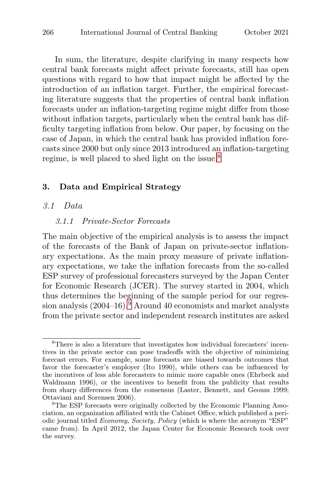In sum, the literature, despite clarifying in many respects how central bank forecasts might affect private forecasts, still has open questions with regard to how that impact might be affected by the introduction of an inflation target. Further, the empirical forecasting literature suggests that the properties of central bank inflation forecasts under an inflation-targeting regime might differ from those without inflation targets, particularly when the central bank has difficulty targeting inflation from below. Our paper, by focusing on the case of Japan, in which the central bank has provided inflation forecasts since 2000 but only since 2013 introduced an inflation-targeting regime, is well placed to shed light on the issue.<sup>8</sup>

#### **3. Data and Empirical Strategy**

#### 3.1 Data

#### 3.1.1 Private-Sector Forecasts

The main objective of the empirical analysis is to assess the impact of the forecasts of the Bank of Japan on private-sector inflationary expectations. As the main proxy measure of private inflationary expectations, we take the inflation forecasts from the so-called ESP survey of professional forecasters surveyed by the Japan Center for Economic Research (JCER). The survey started in 2004, which thus determines the beginning of the sample period for our regression analysis  $(2004-16)$ .<sup>9</sup> Around 40 economists and market analysts from the private sector and independent research institutes are asked

<sup>8</sup>There is also a literature that investigates how individual forecasters' incentives in the private sector can pose tradeoffs with the objective of minimizing forecast errors. For example, some forecasts are biased towards outcomes that favor the forecaster's employer (Ito 1990), while others can be influenced by the incentives of less able forecasters to mimic more capable ones (Ehrbeck and Waldmann 1996), or the incentives to benefit from the publicity that results from sharp differences from the consensus (Laster, Bennett, and Geoum 1999; Ottaviani and Sorensen 2006). <sup>9</sup>The ESP forecasts were originally collected by the Economic Planning Asso-

ciation, an organization affiliated with the Cabinet Office, which published a periodic journal titled Economy, Society, Policy (which is where the acronym "ESP" came from). In April 2012, the Japan Center for Economic Research took over the survey.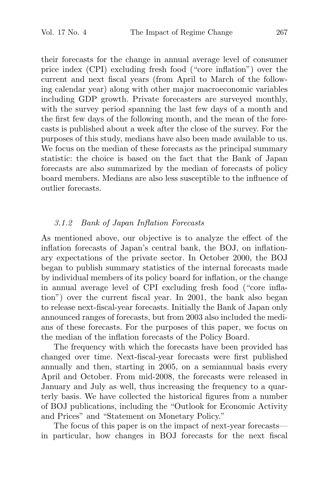their forecasts for the change in annual average level of consumer price index (CPI) excluding fresh food ("core inflation") over the current and next fiscal years (from April to March of the following calendar year) along with other major macroeconomic variables including GDP growth. Private forecasters are surveyed monthly, with the survey period spanning the last few days of a month and the first few days of the following month, and the mean of the forecasts is published about a week after the close of the survey. For the purposes of this study, medians have also been made available to us. We focus on the median of these forecasts as the principal summary statistic: the choice is based on the fact that the Bank of Japan forecasts are also summarized by the median of forecasts of policy board members. Medians are also less susceptible to the influence of outlier forecasts.

## 3.1.2 Bank of Japan Inflation Forecasts

As mentioned above, our objective is to analyze the effect of the inflation forecasts of Japan's central bank, the BOJ, on inflationary expectations of the private sector. In October 2000, the BOJ began to publish summary statistics of the internal forecasts made by individual members of its policy board for inflation, or the change in annual average level of CPI excluding fresh food ("core inflation") over the current fiscal year. In 2001, the bank also began to release next-fiscal-year forecasts. Initially the Bank of Japan only announced ranges of forecasts, but from 2003 also included the medians of these forecasts. For the purposes of this paper, we focus on the median of the inflation forecasts of the Policy Board.

The frequency with which the forecasts have been provided has changed over time. Next-fiscal-year forecasts were first published annually and then, starting in 2005, on a semiannual basis every April and October. From mid-2008, the forecasts were released in January and July as well, thus increasing the frequency to a quarterly basis. We have collected the historical figures from a number of BOJ publications, including the "Outlook for Economic Activity and Prices" and "Statement on Monetary Policy."

The focus of this paper is on the impact of next-year forecasts in particular, how changes in BOJ forecasts for the next fiscal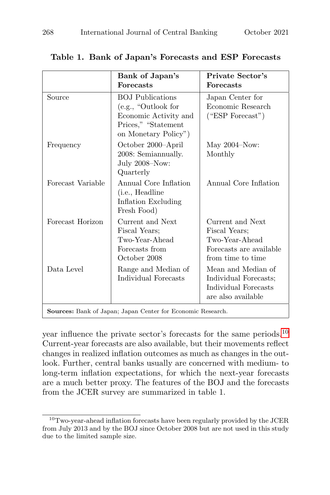|                   | Bank of Japan's<br><b>Forecasts</b>                                                                                    | <b>Private Sector's</b><br><b>Forecasts</b>                                                         |
|-------------------|------------------------------------------------------------------------------------------------------------------------|-----------------------------------------------------------------------------------------------------|
| Source            | <b>BOJ</b> Publications<br>(e.g., "Outlook for<br>Economic Activity and<br>Prices," "Statement<br>on Monetary Policy") | Japan Center for<br>Economic Research<br>("ESP Forecast")                                           |
| Frequency         | October 2000-April<br>2008: Semiannually.<br>July 2008-Now:<br>Quarterly                                               | May $2004 - Now:$<br>Monthly                                                                        |
| Forecast Variable | Annual Core Inflation<br>(i.e., Headline<br>Inflation Excluding<br>Fresh Food)                                         | Annual Core Inflation                                                                               |
| Forecast Horizon  | Current and Next<br>Fiscal Years:<br>Two-Year-Ahead<br>Forecasts from<br>October 2008                                  | Current and Next<br>Fiscal Years:<br>Two-Year-Ahead<br>Forecasts are available<br>from time to time |
| Data Level        | Range and Median of<br>Individual Forecasts                                                                            | Mean and Median of<br>Individual Forecasts;<br>Individual Forecasts<br>are also available           |

## **Table 1. Bank of Japan's Forecasts and ESP Forecasts**

**Sources:** Bank of Japan; Japan Center for Economic Research.

year influence the private sector's forecasts for the same periods.<sup>10</sup> Current-year forecasts are also available, but their movements reflect changes in realized inflation outcomes as much as changes in the outlook. Further, central banks usually are concerned with medium- to long-term inflation expectations, for which the next-year forecasts are a much better proxy. The features of the BOJ and the forecasts from the JCER survey are summarized in table 1.

 $^{10}\mathrm{T}$  wo-year-ahead inflation forecasts have been regularly provided by the JCER from July 2013 and by the BOJ since October 2008 but are not used in this study due to the limited sample size.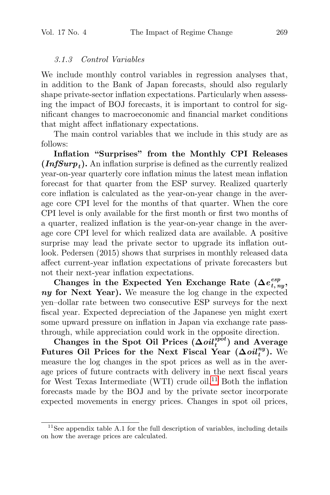## 3.1.3 Control Variables

We include monthly control variables in regression analyses that, in addition to the Bank of Japan forecasts, should also regularly shape private-sector inflation expectations. Particularly when assessing the impact of BOJ forecasts, it is important to control for significant changes to macroeconomic and financial market conditions that might affect inflationary expectations.

The main control variables that we include in this study are as follows:

**Inflation "Surprises" from the Monthly CPI Releases**  $(InfSurp<sub>t</sub>)$ . An inflation surprise is defined as the currently realized year-on-year quarterly core inflation minus the latest mean inflation forecast for that quarter from the ESP survey. Realized quarterly core inflation is calculated as the year-on-year change in the average core CPI level for the months of that quarter. When the core CPI level is only available for the first month or first two months of a quarter, realized inflation is the year-on-year change in the average core CPI level for which realized data are available. A positive surprise may lead the private sector to upgrade its inflation outlook. Pedersen (2015) shows that surprises in monthly released data affect current-year inflation expectations of private forecasters but not their next-year inflation expectations.

Changes in the Expected Yen Exchange Rate  $(\Delta e^{esp}_{t, ny},$ *ny* **for Next Year).** We measure the log change in the expected yen–dollar rate between two consecutive ESP surveys for the next fiscal year. Expected depreciation of the Japanese yen might exert some upward pressure on inflation in Japan via exchange rate passthrough, while appreciation could work in the opposite direction.

Changes in the Spot Oil Prices  $(\Delta oil_i^{spot})$  and Average Futures Oil Prices for the Next Fiscal Year  $(\Delta oil_t^{ny})$ . We measure the log changes in the spot prices as well as in the average prices of future contracts with delivery in the next fiscal years for West Texas Intermediate (WTI) crude oil.<sup>11</sup> Both the inflation forecasts made by the BOJ and by the private sector incorporate expected movements in energy prices. Changes in spot oil prices,

 $11$ See appendix table A.1 for the full description of variables, including details on how the average prices are calculated.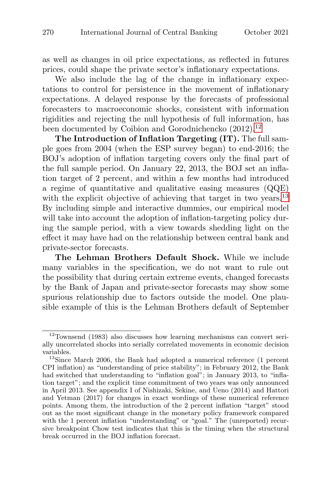as well as changes in oil price expectations, as reflected in futures prices, could shape the private sector's inflationary expectations.

We also include the lag of the change in inflationary expectations to control for persistence in the movement of inflationary expectations. A delayed response by the forecasts of professional forecasters to macroeconomic shocks, consistent with information rigidities and rejecting the null hypothesis of full information, has been documented by Coibion and Gorodnichencko (2012).<sup>12</sup>

**The Introduction of Inflation Targeting (IT).** The full sample goes from 2004 (when the ESP survey began) to end-2016; the BOJ's adoption of inflation targeting covers only the final part of the full sample period. On January 22, 2013, the BOJ set an inflation target of 2 percent, and within a few months had introduced a regime of quantitative and qualitative easing measures (QQE) with the explicit objective of achieving that target in two years.<sup>13</sup> By including simple and interactive dummies, our empirical model will take into account the adoption of inflation-targeting policy during the sample period, with a view towards shedding light on the effect it may have had on the relationship between central bank and private-sector forecasts.

**The Lehman Brothers Default Shock.** While we include many variables in the specification, we do not want to rule out the possibility that during certain extreme events, changed forecasts by the Bank of Japan and private-sector forecasts may show some spurious relationship due to factors outside the model. One plausible example of this is the Lehman Brothers default of September

<sup>12</sup>Townsend (1983) also discusses how learning mechanisms can convert serially uncorrelated shocks into serially correlated movements in economic decision variables.  $13$ Since March 2006, the Bank had adopted a numerical reference (1 percent

CPI inflation) as "understanding of price stability"; in February 2012, the Bank had switched that understanding to "inflation goal"; in January 2013, to "inflation target"; and the explicit time commitment of two years was only announced in April 2013. See appendix I of Nishizaki, Sekine, and Ueno (2014) and Hattori and Yetman (2017) for changes in exact wordings of these numerical reference points. Among them, the introduction of the 2 percent inflation "target" stood out as the most significant change in the monetary policy framework compared with the 1 percent inflation "understanding" or "goal." The (unreported) recursive breakpoint Chow test indicates that this is the timing when the structural break occurred in the BOJ inflation forecast.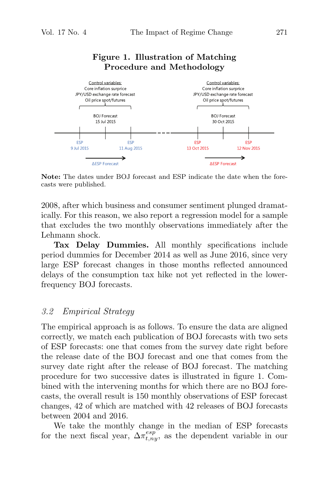# **Figure 1. Illustration of Matching Procedure and Methodology**



**Note:** The dates under BOJ forecast and ESP indicate the date when the forecasts were published.

2008, after which business and consumer sentiment plunged dramatically. For this reason, we also report a regression model for a sample that excludes the two monthly observations immediately after the Lehmann shock.

**Tax Delay Dummies.** All monthly specifications include period dummies for December 2014 as well as June 2016, since very large ESP forecast changes in those months reflected announced delays of the consumption tax hike not yet reflected in the lowerfrequency BOJ forecasts.

## 3.2 Empirical Strategy

The empirical approach is as follows. To ensure the data are aligned correctly, we match each publication of BOJ forecasts with two sets of ESP forecasts: one that comes from the survey date right before the release date of the BOJ forecast and one that comes from the survey date right after the release of BOJ forecast. The matching procedure for two successive dates is illustrated in figure 1. Combined with the intervening months for which there are no BOJ forecasts, the overall result is 150 monthly observations of ESP forecast changes, 42 of which are matched with 42 releases of BOJ forecasts between 2004 and 2016.

We take the monthly change in the median of ESP forecasts for the next fiscal year,  $\Delta \pi_{t,ny}^{esp}$ , as the dependent variable in our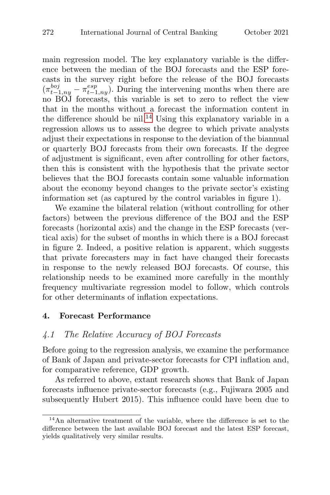main regression model. The key explanatory variable is the difference between the median of the BOJ forecasts and the ESP forecasts in the survey right before the release of the BOJ forecasts  $(\pi_{t-1,ny}^{boj} - \pi_{t-1,ny}^{esp})$ . During the intervening months when there are no BOJ forecasts, this variable is set to zero to reflect the view that in the months without a forecast the information content in the difference should be nil.<sup>14</sup> Using this explanatory variable in a regression allows us to assess the degree to which private analysts adjust their expectations in response to the deviation of the biannual or quarterly BOJ forecasts from their own forecasts. If the degree of adjustment is significant, even after controlling for other factors, then this is consistent with the hypothesis that the private sector believes that the BOJ forecasts contain some valuable information about the economy beyond changes to the private sector's existing information set (as captured by the control variables in figure 1).

We examine the bilateral relation (without controlling for other factors) between the previous difference of the BOJ and the ESP forecasts (horizontal axis) and the change in the ESP forecasts (vertical axis) for the subset of months in which there is a BOJ forecast in figure 2. Indeed, a positive relation is apparent, which suggests that private forecasters may in fact have changed their forecasts in response to the newly released BOJ forecasts. Of course, this relationship needs to be examined more carefully in the monthly frequency multivariate regression model to follow, which controls for other determinants of inflation expectations.

## **4. Forecast Performance**

## 4.1 The Relative Accuracy of BOJ Forecasts

Before going to the regression analysis, we examine the performance of Bank of Japan and private-sector forecasts for CPI inflation and, for comparative reference, GDP growth.

As referred to above, extant research shows that Bank of Japan forecasts influence private-sector forecasts (e.g., Fujiwara 2005 and subsequently Hubert 2015). This influence could have been due to

<sup>14</sup>An alternative treatment of the variable, where the difference is set to the difference between the last available BOJ forecast and the latest ESP forecast, yields qualitatively very similar results.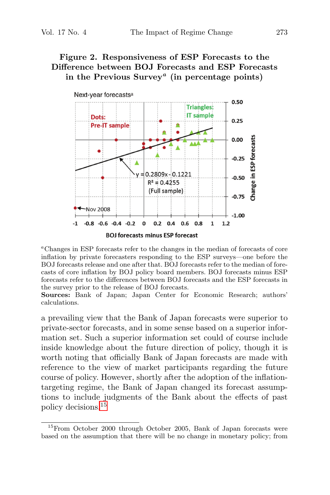# **Figure 2. Responsiveness of ESP Forecasts to the Difference between BOJ Forecasts and ESP Forecasts in the Previous Survey***<sup>a</sup>* **(in percentage points)**



<sup>a</sup>Changes in ESP forecasts refer to the changes in the median of forecasts of core inflation by private forecasters responding to the ESP surveys—one before the BOJ forecasts release and one after that. BOJ forecasts refer to the median of forecasts of core inflation by BOJ policy board members. BOJ forecasts minus ESP forecasts refer to the differences between BOJ forecasts and the ESP forecasts in the survey prior to the release of BOJ forecasts.

**Sources:** Bank of Japan; Japan Center for Economic Research; authors' calculations.

a prevailing view that the Bank of Japan forecasts were superior to private-sector forecasts, and in some sense based on a superior information set. Such a superior information set could of course include inside knowledge about the future direction of policy, though it is worth noting that officially Bank of Japan forecasts are made with reference to the view of market participants regarding the future course of policy. However, shortly after the adoption of the inflationtargeting regime, the Bank of Japan changed its forecast assumptions to include judgments of the Bank about the effects of past policy decisions.<sup>15</sup>

<sup>&</sup>lt;sup>15</sup>From October 2000 through October 2005, Bank of Japan forecasts were based on the assumption that there will be no change in monetary policy; from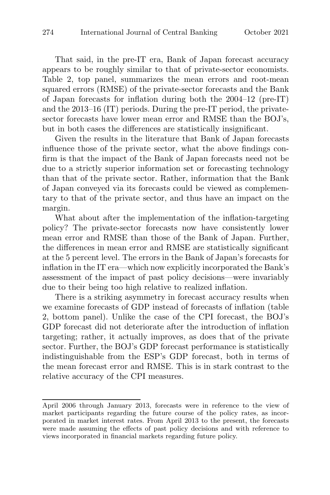That said, in the pre-IT era, Bank of Japan forecast accuracy appears to be roughly similar to that of private-sector economists. Table 2, top panel, summarizes the mean errors and root-mean squared errors (RMSE) of the private-sector forecasts and the Bank of Japan forecasts for inflation during both the 2004–12 (pre-IT) and the 2013–16 (IT) periods. During the pre-IT period, the privatesector forecasts have lower mean error and RMSE than the BOJ's, but in both cases the differences are statistically insignificant.

Given the results in the literature that Bank of Japan forecasts influence those of the private sector, what the above findings confirm is that the impact of the Bank of Japan forecasts need not be due to a strictly superior information set or forecasting technology than that of the private sector. Rather, information that the Bank of Japan conveyed via its forecasts could be viewed as complementary to that of the private sector, and thus have an impact on the margin.

What about after the implementation of the inflation-targeting policy? The private-sector forecasts now have consistently lower mean error and RMSE than those of the Bank of Japan. Further, the differences in mean error and RMSE are statistically significant at the 5 percent level. The errors in the Bank of Japan's forecasts for inflation in the IT era—which now explicitly incorporated the Bank's assessment of the impact of past policy decisions—were invariably due to their being too high relative to realized inflation.

There is a striking asymmetry in forecast accuracy results when we examine forecasts of GDP instead of forecasts of inflation (table 2, bottom panel). Unlike the case of the CPI forecast, the BOJ's GDP forecast did not deteriorate after the introduction of inflation targeting; rather, it actually improves, as does that of the private sector. Further, the BOJ's GDP forecast performance is statistically indistinguishable from the ESP's GDP forecast, both in terms of the mean forecast error and RMSE. This is in stark contrast to the relative accuracy of the CPI measures.

April 2006 through January 2013, forecasts were in reference to the view of market participants regarding the future course of the policy rates, as incorporated in market interest rates. From April 2013 to the present, the forecasts were made assuming the effects of past policy decisions and with reference to views incorporated in financial markets regarding future policy.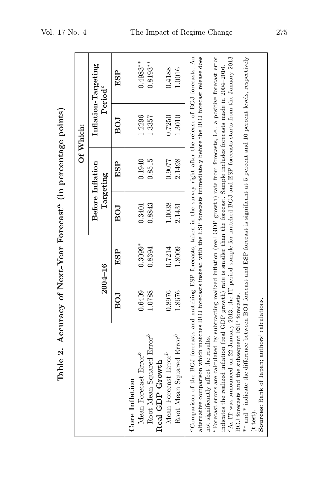|                                                                                                                                                         |        |             |        |                               | Of Which:  |                                       |
|---------------------------------------------------------------------------------------------------------------------------------------------------------|--------|-------------|--------|-------------------------------|------------|---------------------------------------|
|                                                                                                                                                         |        | $2004 - 16$ |        | Before Inflation<br>Targeting |            | Inflation-Targeting<br>$\rm Period^c$ |
|                                                                                                                                                         | BOJ    | ESP         | EOI    | ESP                           | <b>BOJ</b> | ESP                                   |
| Mean Forecast Error <sup>b</sup><br>Core Inflation                                                                                                      | 0.6409 | $0.3099*$   | 0.3401 | 0.1940                        | 1.2296     | $0.4983**$                            |
| Root Mean Squared Error®                                                                                                                                | 1.0788 | 0.8394      | 0.8843 | 0.8515                        | 1.3357     | $0.8193**$                            |
| Real GDP Growth                                                                                                                                         |        |             |        |                               |            |                                       |
| Mean Forecast Error <sup>b</sup>                                                                                                                        | 0.8976 | 0.7214      | 1.0038 | 0.9077                        | 0.7250     | 0.4188                                |
| Root Mean Squared Error <sup>b</sup>                                                                                                                    | 1.8676 | 1.8009      | 2.1431 | 2.1498                        | 1.3010     | 1.0016                                |
| <sup>a</sup> Comparison of the BOJ forecasts and matching ESP forecasts, taken in the survey right after the release of BOJ forecasts. An               |        |             |        |                               |            |                                       |
| alternative comparison which matches BOJ forecasts instead with the ESP forecasts immediately before the BOJ forecast release does                      |        |             |        |                               |            |                                       |
| not significantly affect the results.                                                                                                                   |        |             |        |                               |            |                                       |
| ${}^{\text{b}}$ Forecast errors are calculated by subtracting realized inflation (real GDP growth) rate from forecasts, i.e., a positive forecast error |        |             |        |                               |            |                                       |
| indicates the realized inflation (real GDP growth) rate is smaller than the forecast. Sample includes forecasts made in 2004–2016.                      |        |             |        |                               |            |                                       |
| $c$ As IT was announced on 22 January 2013, the IT period sample for matched BOJ and ESP forecasts starts from the January 2013                         |        |             |        |                               |            |                                       |
| BOJ forecasts and the subsequent ESP forecasts.                                                                                                         |        |             |        |                               |            |                                       |
| ** and * indicate the difference between BOJ forecast and ESP forecast is significant at 5 percent and 10 percent levels, respectively                  |        |             |        |                               |            |                                       |
| $(t-test)$                                                                                                                                              |        |             |        |                               |            |                                       |
| Sources: Bank of Japan; authors' calculations.                                                                                                          |        |             |        |                               |            |                                       |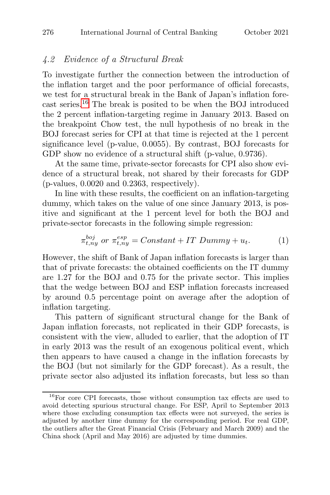## 4.2 Evidence of a Structural Break

To investigate further the connection between the introduction of the inflation target and the poor performance of official forecasts, we test for a structural break in the Bank of Japan's inflation forecast series.<sup>16</sup> The break is posited to be when the BOJ introduced the 2 percent inflation-targeting regime in January 2013. Based on the breakpoint Chow test, the null hypothesis of no break in the BOJ forecast series for CPI at that time is rejected at the 1 percent significance level (p-value, 0.0055). By contrast, BOJ forecasts for GDP show no evidence of a structural shift (p-value, 0.9736).

At the same time, private-sector forecasts for CPI also show evidence of a structural break, not shared by their forecasts for GDP (p-values, 0.0020 and 0.2363, respectively).

In line with these results, the coefficient on an inflation-targeting dummy, which takes on the value of one since January 2013, is positive and significant at the 1 percent level for both the BOJ and private-sector forecasts in the following simple regression:

$$
\pi_{t,ny}^{boj} \text{ or } \pi_{t,ny}^{esp} = Constant + IT \text{ Dummy} + u_t. \tag{1}
$$

However, the shift of Bank of Japan inflation forecasts is larger than that of private forecasts: the obtained coefficients on the IT dummy are 1.27 for the BOJ and 0.75 for the private sector. This implies that the wedge between BOJ and ESP inflation forecasts increased by around 0.5 percentage point on average after the adoption of inflation targeting.

This pattern of significant structural change for the Bank of Japan inflation forecasts, not replicated in their GDP forecasts, is consistent with the view, alluded to earlier, that the adoption of IT in early 2013 was the result of an exogenous political event, which then appears to have caused a change in the inflation forecasts by the BOJ (but not similarly for the GDP forecast). As a result, the private sector also adjusted its inflation forecasts, but less so than

<sup>&</sup>lt;sup>16</sup>For core CPI forecasts, those without consumption tax effects are used to avoid detecting spurious structural change. For ESP, April to September 2013 where those excluding consumption tax effects were not surveyed, the series is adjusted by another time dummy for the corresponding period. For real GDP, the outliers after the Great Financial Crisis (February and March 2009) and the China shock (April and May 2016) are adjusted by time dummies.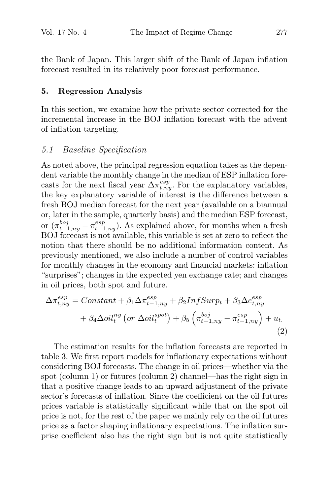the Bank of Japan. This larger shift of the Bank of Japan inflation forecast resulted in its relatively poor forecast performance.

## **5. Regression Analysis**

In this section, we examine how the private sector corrected for the incremental increase in the BOJ inflation forecast with the advent of inflation targeting.

## 5.1 Baseline Specification

As noted above, the principal regression equation takes as the dependent variable the monthly change in the median of ESP inflation forecasts for the next fiscal year  $\Delta \pi_{t,ny}^{esp}$ . For the explanatory variables, the key explanatory variable of interest is the difference between a fresh BOJ median forecast for the next year (available on a biannual or, later in the sample, quarterly basis) and the median ESP forecast, or  $(\pi_{t-1,ny}^{boj} - \pi_{t-1,ny}^{esp})$ . As explained above, for months when a fresh BOJ forecast is not available, this variable is set at zero to reflect the notion that there should be no additional information content. As previously mentioned, we also include a number of control variables for monthly changes in the economy and financial markets: inflation "surprises"; changes in the expected yen exchange rate; and changes in oil prices, both spot and future.

$$
\Delta \pi_{t,ny}^{esp} = Constant + \beta_1 \Delta \pi_{t-1,ny}^{esp} + \beta_2 InfSurp_t + \beta_3 \Delta e_{t,ny}^{esp} + \beta_4 \Delta oil_t^{ny} \left( or \Delta oil_t^{spot} \right) + \beta_5 \left( \pi_{t-1,ny}^{boj} - \pi_{t-1,ny}^{esp} \right) + u_t.
$$
\n(2)

The estimation results for the inflation forecasts are reported in table 3. We first report models for inflationary expectations without considering BOJ forecasts. The change in oil prices—whether via the spot (column 1) or futures (column 2) channel—has the right sign in that a positive change leads to an upward adjustment of the private sector's forecasts of inflation. Since the coefficient on the oil futures prices variable is statistically significant while that on the spot oil price is not, for the rest of the paper we mainly rely on the oil futures price as a factor shaping inflationary expectations. The inflation surprise coefficient also has the right sign but is not quite statistically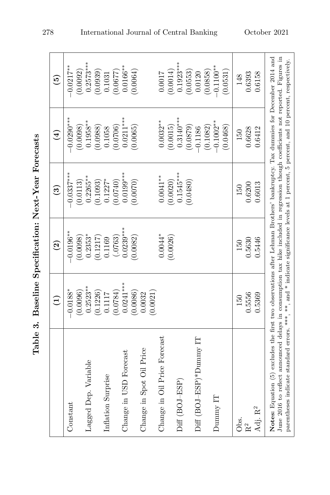| ļ                                 |
|-----------------------------------|
| ;<br>I<br>֚֚<br>l                 |
| $\frac{1}{2}$<br>I<br>I<br>I<br>Ì |
| I<br>י<br>í<br>I                  |
| Ó<br>֕                            |

|                                                                                                                                                                                                                                                                                                                                                                                                                | $\widehat{E}$     | $\widehat{c}$ | $\circled{3}$ | $\left( \frac{1}{2} \right)$ | $\widetilde{5}$ |
|----------------------------------------------------------------------------------------------------------------------------------------------------------------------------------------------------------------------------------------------------------------------------------------------------------------------------------------------------------------------------------------------------------------|-------------------|---------------|---------------|------------------------------|-----------------|
| Constant                                                                                                                                                                                                                                                                                                                                                                                                       | $-0.0188*$        | $-0.0196***$  | $-0.0337***$  | $0.0290***$                  | $-0.0217**$     |
|                                                                                                                                                                                                                                                                                                                                                                                                                | (0.0096)          | (0.0098)      | (0.0113)      | (0.0098)                     | (0.0092)        |
| Lagged Dep. Variable                                                                                                                                                                                                                                                                                                                                                                                           | $0.2523**$        | $0.2353*$     | $0.2265***$   | $0.1958**$                   | $0.2573***$     |
|                                                                                                                                                                                                                                                                                                                                                                                                                | 0.1226            | (0.1217)      | (0.1093)      | 0.0988                       | (0.0939)        |
| Inflation Surprise                                                                                                                                                                                                                                                                                                                                                                                             | 0.1117            | 0.1169        | $0.1227*$     | 0.1058                       | 0.1031          |
|                                                                                                                                                                                                                                                                                                                                                                                                                | (0.0784)          | (.0763)       | (0.0740)      | (0.0706)                     | (0.0677)        |
| Change in USD Forecast                                                                                                                                                                                                                                                                                                                                                                                         | $0.0241***$       | $0.0239***$   | $0.0199$ ***  | $0.0211***$                  | $0.0166***$     |
|                                                                                                                                                                                                                                                                                                                                                                                                                | 0.0086            | (0.0082)      | (0.0070)      | 0.0065)                      | (0.0064)        |
| Change in Spot Oil Price                                                                                                                                                                                                                                                                                                                                                                                       | 0.0021)<br>0.0032 |               |               |                              |                 |
| Change in Oil Price Forecast                                                                                                                                                                                                                                                                                                                                                                                   |                   | $0.0044*$     | $0.0041**$    | $0.0032**$                   | 7100.0          |
|                                                                                                                                                                                                                                                                                                                                                                                                                |                   | (0.0026)      | (0.0020)      | (0.0015)                     | (0.0014)        |
| $Diff(BOJ-ESP)$                                                                                                                                                                                                                                                                                                                                                                                                |                   |               | $0.1545***$   | $0.3140***$                  | $0.1923***$     |
|                                                                                                                                                                                                                                                                                                                                                                                                                |                   |               | (0.0480)      | (0.0879)                     | (0.0553)        |
| Diff (BOJ-ESP)*Dummy IT                                                                                                                                                                                                                                                                                                                                                                                        |                   |               |               | $-0.1186$                    | 0.0120          |
|                                                                                                                                                                                                                                                                                                                                                                                                                |                   |               |               | (0.1082)                     | (0.0858)        |
| Dunny IT                                                                                                                                                                                                                                                                                                                                                                                                       |                   |               |               | $-0.1002**$                  | $-0.1100**$     |
|                                                                                                                                                                                                                                                                                                                                                                                                                |                   |               |               | (0.0468)                     | (0.0531)        |
| Obs.                                                                                                                                                                                                                                                                                                                                                                                                           | 150               | 150           | 150           | 150                          | 148             |
| R <sup>2</sup>                                                                                                                                                                                                                                                                                                                                                                                                 | 0.5556            | 0.5630        | 0.6200        | 0.6628                       | 0.6393          |
| Adj. $\mathbf{R}^2$                                                                                                                                                                                                                                                                                                                                                                                            | 0.5369            | 0.5446        | 0.6013        | 0.6412                       | 0.6158          |
| Notes: Equation (5) excludes the first two observations after Lehman Brothers' bankruptcy. Tax dummies for December 2014 and<br>June 2016 to reflect announced delays in consumption tax hike included in regression though coefficients not reported. Figures in<br>parentheses indicate standard errors. ***, ***, and * indicate significance levels at 1 percent, 5 percent, and 10 percent, respectively. |                   |               |               |                              |                 |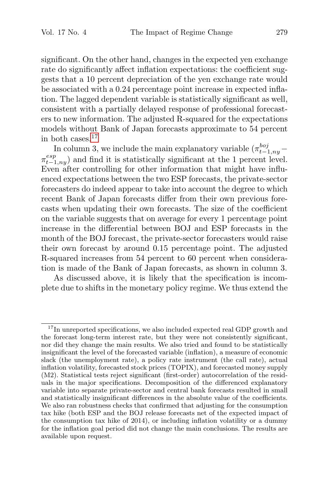significant. On the other hand, changes in the expected yen exchange rate do significantly affect inflation expectations: the coefficient suggests that a 10 percent depreciation of the yen exchange rate would be associated with a 0.24 percentage point increase in expected inflation. The lagged dependent variable is statistically significant as well, consistent with a partially delayed response of professional forecasters to new information. The adjusted R-squared for the expectations models without Bank of Japan forecasts approximate to 54 percent in both cases. $17$ 

In column 3, we include the main explanatory variable  $(\pi_{t-1,ny}^{boj} \pi_{t-1,ny}^{esp}$  and find it is statistically significant at the 1 percent level. Even after controlling for other information that might have influenced expectations between the two ESP forecasts, the private-sector forecasters do indeed appear to take into account the degree to which recent Bank of Japan forecasts differ from their own previous forecasts when updating their own forecasts. The size of the coefficient on the variable suggests that on average for every 1 percentage point increase in the differential between BOJ and ESP forecasts in the month of the BOJ forecast, the private-sector forecasters would raise their own forecast by around 0.15 percentage point. The adjusted R-squared increases from 54 percent to 60 percent when consideration is made of the Bank of Japan forecasts, as shown in column 3.

As discussed above, it is likely that the specification is incomplete due to shifts in the monetary policy regime. We thus extend the

<sup>&</sup>lt;sup>17</sup>In unreported specifications, we also included expected real GDP growth and the forecast long-term interest rate, but they were not consistently significant, nor did they change the main results. We also tried and found to be statistically insignificant the level of the forecasted variable (inflation), a measure of economic slack (the unemployment rate), a policy rate instrument (the call rate), actual inflation volatility, forecasted stock prices (TOPIX), and forecasted money supply (M2). Statistical tests reject significant (first-order) autocorrelation of the residuals in the major specifications. Decomposition of the differenced explanatory variable into separate private-sector and central bank forecasts resulted in small and statistically insignificant differences in the absolute value of the coefficients. We also ran robustness checks that confirmed that adjusting for the consumption tax hike (both ESP and the BOJ release forecasts net of the expected impact of the consumption tax hike of 2014), or including inflation volatility or a dummy for the inflation goal period did not change the main conclusions. The results are available upon request.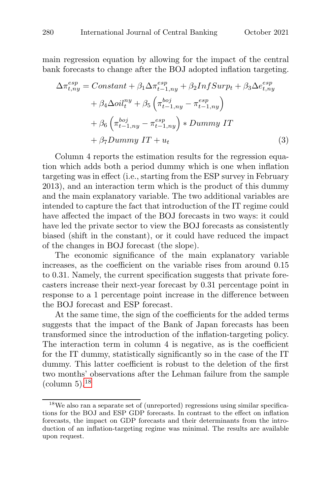main regression equation by allowing for the impact of the central bank forecasts to change after the BOJ adopted inflation targeting.

$$
\Delta \pi_{t,ny}^{esp} = Constant + \beta_1 \Delta \pi_{t-1,ny}^{esp} + \beta_2 InfSurp_t + \beta_3 \Delta e_{t,ny}^{esp} \n+ \beta_4 \Delta oil_t^{ny} + \beta_5 \left( \pi_{t-1,ny}^{boj} - \pi_{t-1,ny}^{esp} \right) \n+ \beta_6 \left( \pi_{t-1,ny}^{boj} - \pi_{t-1,ny}^{esp} \right) * Dummy IT \n+ \beta_7 Dummy IT + u_t
$$
\n(3)

Column 4 reports the estimation results for the regression equation which adds both a period dummy which is one when inflation targeting was in effect (i.e., starting from the ESP survey in February 2013), and an interaction term which is the product of this dummy and the main explanatory variable. The two additional variables are intended to capture the fact that introduction of the IT regime could have affected the impact of the BOJ forecasts in two ways: it could have led the private sector to view the BOJ forecasts as consistently biased (shift in the constant), or it could have reduced the impact of the changes in BOJ forecast (the slope).

The economic significance of the main explanatory variable increases, as the coefficient on the variable rises from around 0.15 to 0.31. Namely, the current specification suggests that private forecasters increase their next-year forecast by 0.31 percentage point in response to a 1 percentage point increase in the difference between the BOJ forecast and ESP forecast.

At the same time, the sign of the coefficients for the added terms suggests that the impact of the Bank of Japan forecasts has been transformed since the introduction of the inflation-targeting policy. The interaction term in column 4 is negative, as is the coefficient for the IT dummy, statistically significantly so in the case of the IT dummy. This latter coefficient is robust to the deletion of the first two months' observations after the Lehman failure from the sample  $\rm (column 5).^{18}$ 

<sup>18</sup>We also ran a separate set of (unreported) regressions using similar specifications for the BOJ and ESP GDP forecasts. In contrast to the effect on inflation forecasts, the impact on GDP forecasts and their determinants from the introduction of an inflation-targeting regime was minimal. The results are available upon request.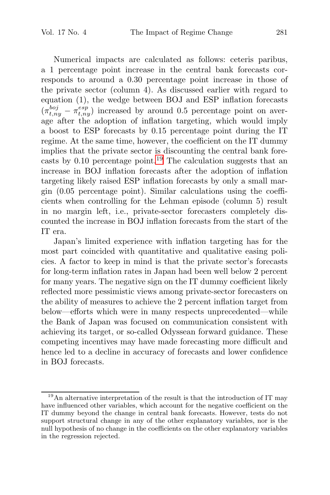Numerical impacts are calculated as follows: ceteris paribus, a 1 percentage point increase in the central bank forecasts corresponds to around a 0.30 percentage point increase in those of the private sector (column 4). As discussed earlier with regard to equation (1), the wedge between BOJ and ESP inflation forecasts  $(\pi_{t,ny}^{boj} - \pi_{t,ny}^{esp})$  increased by around 0.5 percentage point on average after the adoption of inflation targeting, which would imply a boost to ESP forecasts by 0.15 percentage point during the IT regime. At the same time, however, the coefficient on the IT dummy implies that the private sector is discounting the central bank forecasts by  $0.10$  percentage point.<sup>19</sup> The calculation suggests that an increase in BOJ inflation forecasts after the adoption of inflation targeting likely raised ESP inflation forecasts by only a small margin (0.05 percentage point). Similar calculations using the coefficients when controlling for the Lehman episode (column 5) result in no margin left, i.e., private-sector forecasters completely discounted the increase in BOJ inflation forecasts from the start of the IT era.

Japan's limited experience with inflation targeting has for the most part coincided with quantitative and qualitative easing policies. A factor to keep in mind is that the private sector's forecasts for long-term inflation rates in Japan had been well below 2 percent for many years. The negative sign on the IT dummy coefficient likely reflected more pessimistic views among private-sector forecasters on the ability of measures to achieve the 2 percent inflation target from below—efforts which were in many respects unprecedented—while the Bank of Japan was focused on communication consistent with achieving its target, or so-called Odyssean forward guidance. These competing incentives may have made forecasting more difficult and hence led to a decline in accuracy of forecasts and lower confidence in BOJ forecasts.

<sup>&</sup>lt;sup>19</sup>An alternative interpretation of the result is that the introduction of IT may have influenced other variables, which account for the negative coefficient on the IT dummy beyond the change in central bank forecasts. However, tests do not support structural change in any of the other explanatory variables, nor is the null hypothesis of no change in the coefficients on the other explanatory variables in the regression rejected.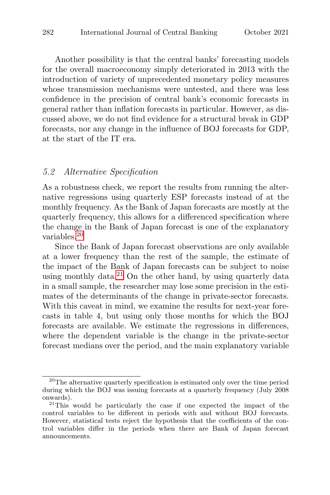Another possibility is that the central banks' forecasting models for the overall macroeconomy simply deteriorated in 2013 with the introduction of variety of unprecedented monetary policy measures whose transmission mechanisms were untested, and there was less confidence in the precision of central bank's economic forecasts in general rather than inflation forecasts in particular. However, as discussed above, we do not find evidence for a structural break in GDP forecasts, nor any change in the influence of BOJ forecasts for GDP, at the start of the IT era.

#### 5.2 Alternative Specification

As a robustness check, we report the results from running the alternative regressions using quarterly ESP forecasts instead of at the monthly frequency. As the Bank of Japan forecasts are mostly at the quarterly frequency, this allows for a differenced specification where the change in the Bank of Japan forecast is one of the explanatory variables.<sup>20</sup>

Since the Bank of Japan forecast observations are only available at a lower frequency than the rest of the sample, the estimate of the impact of the Bank of Japan forecasts can be subject to noise using monthly data. $^{21}$  On the other hand, by using quarterly data in a small sample, the researcher may lose some precision in the estimates of the determinants of the change in private-sector forecasts. With this caveat in mind, we examine the results for next-year forecasts in table 4, but using only those months for which the BOJ forecasts are available. We estimate the regressions in differences, where the dependent variable is the change in the private-sector forecast medians over the period, and the main explanatory variable

<sup>&</sup>lt;sup>20</sup>The alternative quarterly specification is estimated only over the time period during which the BOJ was issuing forecasts at a quarterly frequency (July 2008 onwards).  $21$ This would be particularly the case if one expected the impact of the

control variables to be different in periods with and without BOJ forecasts. However, statistical tests reject the hypothesis that the coefficients of the control variables differ in the periods when there are Bank of Japan forecast announcements.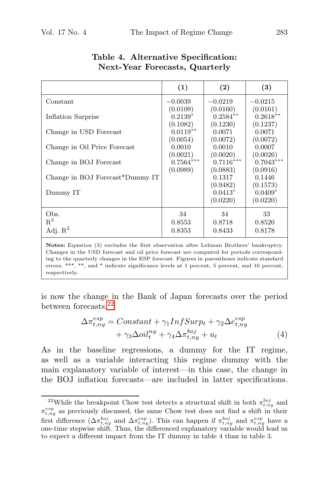|                                 | (1)                               | (2)                                | $\left(3\right)$                   |
|---------------------------------|-----------------------------------|------------------------------------|------------------------------------|
| Constant                        | $-0.0039$                         | $-0.0219$                          | $-0.0215$                          |
| Inflation Surprise              | (0.0109)<br>$0.2139*$<br>(0.1082) | (0.0160)<br>$0.2584**$<br>(0.1230) | (0.0161)<br>$0.2618**$<br>(0.1237) |
| Change in USD Forecast          | $0.0119**$                        | 0.0071                             | 0.0071                             |
| Change in Oil Price Forecast    | (0.0054)<br>0.0010                | (0.0072)<br>0.0010                 | (0.0072)<br>0.0007                 |
| Change in BOJ Forecast          | (0.0021)<br>$0.7564***$           | (0.0020)<br>$0.7116***$            | (0.0026)<br>$0.7043***$            |
| Change in BOJ Forecast*Dummy IT | (0.0989)                          | (0.0883)<br>0.1317                 | (0.0916)<br>0.1446                 |
| Dummy IT                        |                                   | (0.9482)<br>$0.0413*$<br>(0.0220)  | (0.1573)<br>$0.0409*$<br>(0.0220)  |
| Obs.                            | 34                                | 34                                 | 33                                 |
| $R^2$<br>Adj. $R^2$             | 0.8553<br>0.8353                  | 0.8718<br>0.8433                   | 0.8520<br>0.8178                   |

## **Table 4. Alternative Specification: Next-Year Forecasts, Quarterly**

**Notes:** Equation (3) excludes the first observation after Lehman Brothers' bankruptcy. Changes in the USD forecast and oil price forecast are computed for periods corresponding to the quarterly changes in the ESP forecast. Figures in parentheses indicate standard errors. \*\*\*, \*\*, and \* indicate significance levels at 1 percent, 5 percent, and 10 percent, respectively.

is now the change in the Bank of Japan forecasts over the period between forecasts.<sup>22</sup>

$$
\Delta \pi_{t,ny}^{esp} = Constant + \gamma_1 InfSurp_t + \gamma_2 \Delta e_{t,ny}^{esp} + \gamma_3 \Delta oil_t^{ny} + \gamma_4 \Delta \pi_{t,ny}^{boj} + u_t
$$
\n(4)

As in the baseline regressions, a dummy for the IT regime, as well as a variable interacting this regime dummy with the main explanatory variable of interest—in this case, the change in the BOJ inflation forecasts—are included in latter specifications.

<sup>&</sup>lt;sup>22</sup>While the breakpoint Chow test detects a structural shift in both  $\pi_{t,ny}^{boj}$  and  $\pi_{t,ny}^{esp}$  as previously discussed, the same Chow test does not find a shift in their first difference  $(\Delta \pi_{t,ny}^{boj})$  and  $\Delta \pi_{t,ny}^{esp}$ ). This can happen if  $\pi_{t,ny}^{boj}$  and  $\pi_{t,ny}^{esp}$  have a one-time stepwise shift. Thus, the differenced explanatory variable would lead us to expect a different impact from the IT dummy in table 4 than in table 3.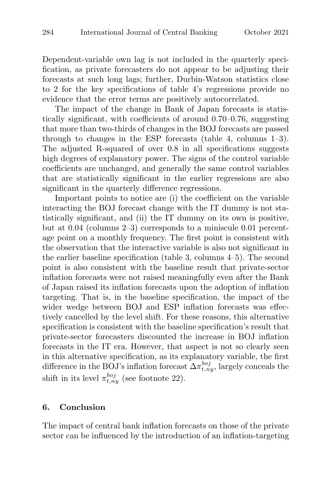Dependent-variable own lag is not included in the quarterly specification, as private forecasters do not appear to be adjusting their forecasts at such long lags; further, Durbin-Watson statistics close to 2 for the key specifications of table 4's regressions provide no evidence that the error terms are positively autocorrelated.

The impact of the change in Bank of Japan forecasts is statistically significant, with coefficients of around 0.70–0.76, suggesting that more than two-thirds of changes in the BOJ forecasts are passed through to changes in the ESP forecasts (table 4, columns 1–3). The adjusted R-squared of over 0.8 in all specifications suggests high degrees of explanatory power. The signs of the control variable coefficients are unchanged, and generally the same control variables that are statistically significant in the earlier regressions are also significant in the quarterly difference regressions.

Important points to notice are (i) the coefficient on the variable interacting the BOJ forecast change with the IT dummy is not statistically significant, and (ii) the IT dummy on its own is positive, but at 0.04 (columns 2–3) corresponds to a miniscule 0.01 percentage point on a monthly frequency. The first point is consistent with the observation that the interactive variable is also not significant in the earlier baseline specification (table 3, columns 4–5). The second point is also consistent with the baseline result that private-sector inflation forecasts were not raised meaningfully even after the Bank of Japan raised its inflation forecasts upon the adoption of inflation targeting. That is, in the baseline specification, the impact of the wider wedge between BOJ and ESP inflation forecasts was effectively cancelled by the level shift. For these reasons, this alternative specification is consistent with the baseline specification's result that private-sector forecasters discounted the increase in BOJ inflation forecasts in the IT era. However, that aspect is not so clearly seen in this alternative specification, as its explanatory variable, the first difference in the BOJ's inflation forecast  $\Delta \pi_{t,ny}^{boj}$ , largely conceals the shift in its level  $\pi_{t,ny}^{boj}$  (see footnote 22).

## **6. Conclusion**

The impact of central bank inflation forecasts on those of the private sector can be influenced by the introduction of an inflation-targeting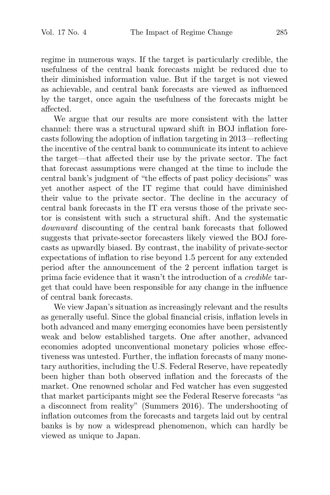regime in numerous ways. If the target is particularly credible, the usefulness of the central bank forecasts might be reduced due to their diminished information value. But if the target is not viewed as achievable, and central bank forecasts are viewed as influenced by the target, once again the usefulness of the forecasts might be affected.

We argue that our results are more consistent with the latter channel: there was a structural upward shift in BOJ inflation forecasts following the adoption of inflation targeting in 2013—reflecting the incentive of the central bank to communicate its intent to achieve the target—that affected their use by the private sector. The fact that forecast assumptions were changed at the time to include the central bank's judgment of "the effects of past policy decisions" was yet another aspect of the IT regime that could have diminished their value to the private sector. The decline in the accuracy of central bank forecasts in the IT era versus those of the private sector is consistent with such a structural shift. And the systematic downward discounting of the central bank forecasts that followed suggests that private-sector forecasters likely viewed the BOJ forecasts as upwardly biased. By contrast, the inability of private-sector expectations of inflation to rise beyond 1.5 percent for any extended period after the announcement of the 2 percent inflation target is prima facie evidence that it wasn't the introduction of a credible target that could have been responsible for any change in the influence of central bank forecasts.

We view Japan's situation as increasingly relevant and the results as generally useful. Since the global financial crisis, inflation levels in both advanced and many emerging economies have been persistently weak and below established targets. One after another, advanced economies adopted unconventional monetary policies whose effectiveness was untested. Further, the inflation forecasts of many monetary authorities, including the U.S. Federal Reserve, have repeatedly been higher than both observed inflation and the forecasts of the market. One renowned scholar and Fed watcher has even suggested that market participants might see the Federal Reserve forecasts "as a disconnect from reality" (Summers 2016). The undershooting of inflation outcomes from the forecasts and targets laid out by central banks is by now a widespread phenomenon, which can hardly be viewed as unique to Japan.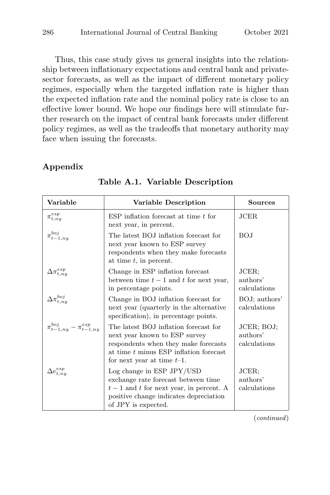Thus, this case study gives us general insights into the relationship between inflationary expectations and central bank and privatesector forecasts, as well as the impact of different monetary policy regimes, especially when the targeted inflation rate is higher than the expected inflation rate and the nominal policy rate is close to an effective lower bound. We hope our findings here will stimulate further research on the impact of central bank forecasts under different policy regimes, as well as the tradeoffs that monetary authority may face when issuing the forecasts.

## **Appendix**

| Variable                                | Variable Description                                                                                                                                                                        | Sources                                |
|-----------------------------------------|---------------------------------------------------------------------------------------------------------------------------------------------------------------------------------------------|----------------------------------------|
| $\pi_{t,ny}^{esp}$                      | $ESP$ inflation forecast at time t for<br>next year, in percent.                                                                                                                            | JCER.                                  |
| $\pi_{t-1,ny}^{boj}$                    | The latest BOJ inflation forecast for<br>next year known to ESP survey<br>respondents when they make forecasts<br>at time $t$ , in percent.                                                 | BOJ                                    |
| $\tau^{esp}_{t,ny}$                     | Change in ESP inflation forecast<br>between time $t-1$ and t for next year,<br>in percentage points.                                                                                        | JCER;<br>authors'<br>calculations      |
| $_{t.nu}^{boj}$                         | Change in BOJ inflation forecast for<br>next year (quarterly in the alternative<br>specification), in percentage points.                                                                    | BOJ; authors'<br>calculations          |
| $\pi_{t-1,ny}^{boj}-\pi_{t-1,ny}^{esp}$ | The latest BOJ inflation forecast for<br>next year known to ESP survey<br>respondents when they make forecasts<br>at time $t$ minus ESP inflation forecast<br>for next year at time $t-1$ . | JCER; BOJ;<br>authors'<br>calculations |
| $e^{esp}_{t,ny}$                        | Log change in $ESP$ JPY/USD<br>exchange rate forecast between time<br>$t-1$ and t for next year, in percent. A<br>positive change indicates depreciation<br>of JPY is expected.             | JCER;<br>authors'<br>calculations      |

**Table A.1. Variable Description**

(continued)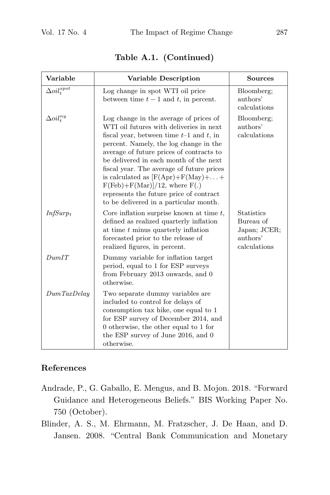| Variable              | Variable Description                                                                                                                                                                                                                                                                                                                                                                                                                                                            | <b>Sources</b>                                                             |
|-----------------------|---------------------------------------------------------------------------------------------------------------------------------------------------------------------------------------------------------------------------------------------------------------------------------------------------------------------------------------------------------------------------------------------------------------------------------------------------------------------------------|----------------------------------------------------------------------------|
| $\Delta oil^{spot}_t$ | Log change in spot WTI oil price<br>between time $t-1$ and t, in percent.                                                                                                                                                                                                                                                                                                                                                                                                       | Bloomberg;<br>authors'<br>calculations                                     |
| $\Delta oil_t^{ny}$   | Log change in the average of prices of<br>WTI oil futures with deliveries in next<br>fiscal year, between time $t-1$ and t, in<br>percent. Namely, the log change in the<br>average of future prices of contracts to<br>be delivered in each month of the next<br>fiscal year. The average of future prices<br>is calculated as $[F(Apr)+F(May)++$<br>$F(Feb) + F(Mar)]/12$ , where $F(.)$<br>represents the future price of contract<br>to be delivered in a particular month. | Bloomberg;<br>authors'<br>calculations                                     |
| $InfSurp_t$           | Core inflation surprise known at time $t$ ,<br>defined as realized quarterly inflation<br>at time $t$ minus quarterly inflation<br>forecasted prior to the release of<br>realized figures, in percent.                                                                                                                                                                                                                                                                          | <b>Statistics</b><br>Bureau of<br>Japan; JCER;<br>authors'<br>calculations |
| DumIT                 | Dummy variable for inflation target<br>period, equal to 1 for ESP surveys<br>from February 2013 onwards, and 0<br>otherwise.                                                                                                                                                                                                                                                                                                                                                    |                                                                            |
| Dum TaxDelay          | Two separate dummy variables are<br>included to control for delays of<br>consumption tax hike, one equal to 1<br>for ESP survey of December 2014, and<br>0 otherwise, the other equal to 1 for<br>the ESP survey of June 2016, and 0<br>otherwise.                                                                                                                                                                                                                              |                                                                            |

**Table A.1. (Continued)**

# **References**

- Andrade, P., G. Gaballo, E. Mengus, and B. Mojon. 2018. "Forward Guidance and Heterogeneous Beliefs." BIS Working Paper No. 750 (October).
- Blinder, A. S., M. Ehrmann, M. Fratzscher, J. De Haan, and D. Jansen. 2008. "Central Bank Communication and Monetary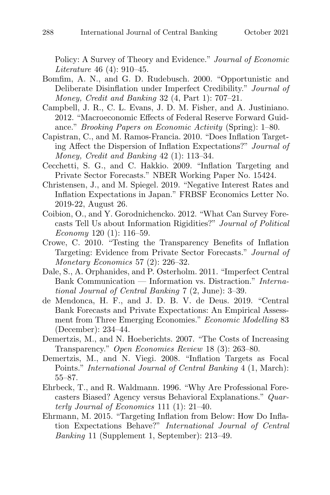Policy: A Survey of Theory and Evidence." Journal of Economic Literature 46 (4): 910–45.

- Bomfim, A. N., and G. D. Rudebusch. 2000. "Opportunistic and Deliberate Disinflation under Imperfect Credibility." Journal of Money, Credit and Banking 32 (4, Part 1): 707–21.
- Campbell, J. R., C. L. Evans, J. D. M. Fisher, and A. Justiniano. 2012. "Macroeconomic Effects of Federal Reserve Forward Guidance." Brooking Papers on Economic Activity (Spring): 1–80.
- Capistran, C., and M. Ramos-Francia. 2010. "Does Inflation Targeting Affect the Dispersion of Inflation Expectations?" Journal of Money, Credit and Banking 42 (1): 113–34.
- Cecchetti, S. G., and C. Hakkio. 2009. "Inflation Targeting and Private Sector Forecasts." NBER Working Paper No. 15424.
- Christensen, J., and M. Spiegel. 2019. "Negative Interest Rates and Inflation Expectations in Japan." FRBSF Economics Letter No. 2019-22, August 26.
- Coibion, O., and Y. Gorodnichencko. 2012. "What Can Survey Forecasts Tell Us about Information Rigidities?" Journal of Political Economy 120  $(1)$ : 116–59.
- Crowe, C. 2010. "Testing the Transparency Benefits of Inflation Targeting: Evidence from Private Sector Forecasts." Journal of Monetary Economics 57 (2): 226–32.
- Dale, S., A. Orphanides, and P. Osterholm. 2011. "Imperfect Central Bank Communication — Information vs. Distraction." International Journal of Central Banking 7 (2, June): 3–39.
- de Mendonca, H. F., and J. D. B. V. de Deus. 2019. "Central Bank Forecasts and Private Expectations: An Empirical Assessment from Three Emerging Economies." Economic Modelling 83 (December): 234–44.
- Demertzis, M., and N. Hoeberichts. 2007. "The Costs of Increasing Transparency." Open Economies Review 18 (3): 263–80.
- Demertzis, M., and N. Viegi. 2008. "Inflation Targets as Focal Points." International Journal of Central Banking 4 (1, March): 55–87.
- Ehrbeck, T., and R. Waldmann. 1996. "Why Are Professional Forecasters Biased? Agency versus Behavioral Explanations." Quarterly Journal of Economics 111 (1): 21–40.
- Ehrmann, M. 2015. "Targeting Inflation from Below: How Do Inflation Expectations Behave?" International Journal of Central Banking 11 (Supplement 1, September): 213–49.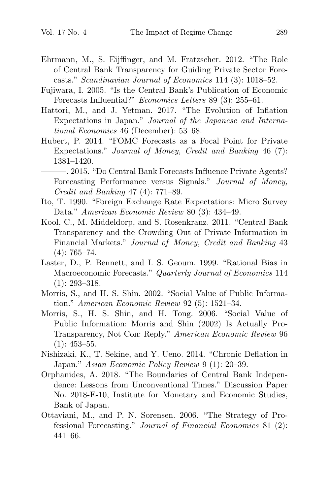- Ehrmann, M., S. Eijffinger, and M. Fratzscher. 2012. "The Role of Central Bank Transparency for Guiding Private Sector Forecasts." Scandinavian Journal of Economics 114 (3): 1018–52.
- Fujiwara, I. 2005. "Is the Central Bank's Publication of Economic Forecasts Influential?" Economics Letters 89 (3): 255–61.
- Hattori, M., and J. Yetman. 2017. "The Evolution of Inflation Expectations in Japan." Journal of the Japanese and International Economies 46 (December): 53–68.
- Hubert, P. 2014. "FOMC Forecasts as a Focal Point for Private Expectations." Journal of Money, Credit and Banking 46 (7): 1381–1420.

———. 2015. "Do Central Bank Forecasts Influence Private Agents? Forecasting Performance versus Signals." Journal of Money, Credit and Banking 47 (4): 771–89.

- Ito, T. 1990. "Foreign Exchange Rate Expectations: Micro Survey Data." American Economic Review 80 (3): 434–49.
- Kool, C., M. Middeldorp, and S. Rosenkranz. 2011. "Central Bank Transparency and the Crowding Out of Private Information in Financial Markets." Journal of Money, Credit and Banking 43 (4): 765–74.
- Laster, D., P. Bennett, and I. S. Geoum. 1999. "Rational Bias in Macroeconomic Forecasts." Quarterly Journal of Economics 114 (1): 293–318.
- Morris, S., and H. S. Shin. 2002. "Social Value of Public Information." American Economic Review 92 (5): 1521–34.
- Morris, S., H. S. Shin, and H. Tong. 2006. "Social Value of Public Information: Morris and Shin (2002) Is Actually Pro-Transparency, Not Con: Reply." American Economic Review 96  $(1): 453 - 55.$
- Nishizaki, K., T. Sekine, and Y. Ueno. 2014. "Chronic Deflation in Japan." Asian Economic Policy Review 9 (1): 20–39.
- Orphanides, A. 2018. "The Boundaries of Central Bank Independence: Lessons from Unconventional Times." Discussion Paper No. 2018-E-10, Institute for Monetary and Economic Studies, Bank of Japan.
- Ottaviani, M., and P. N. Sorensen. 2006. "The Strategy of Professional Forecasting." Journal of Financial Economics 81 (2): 441–66.